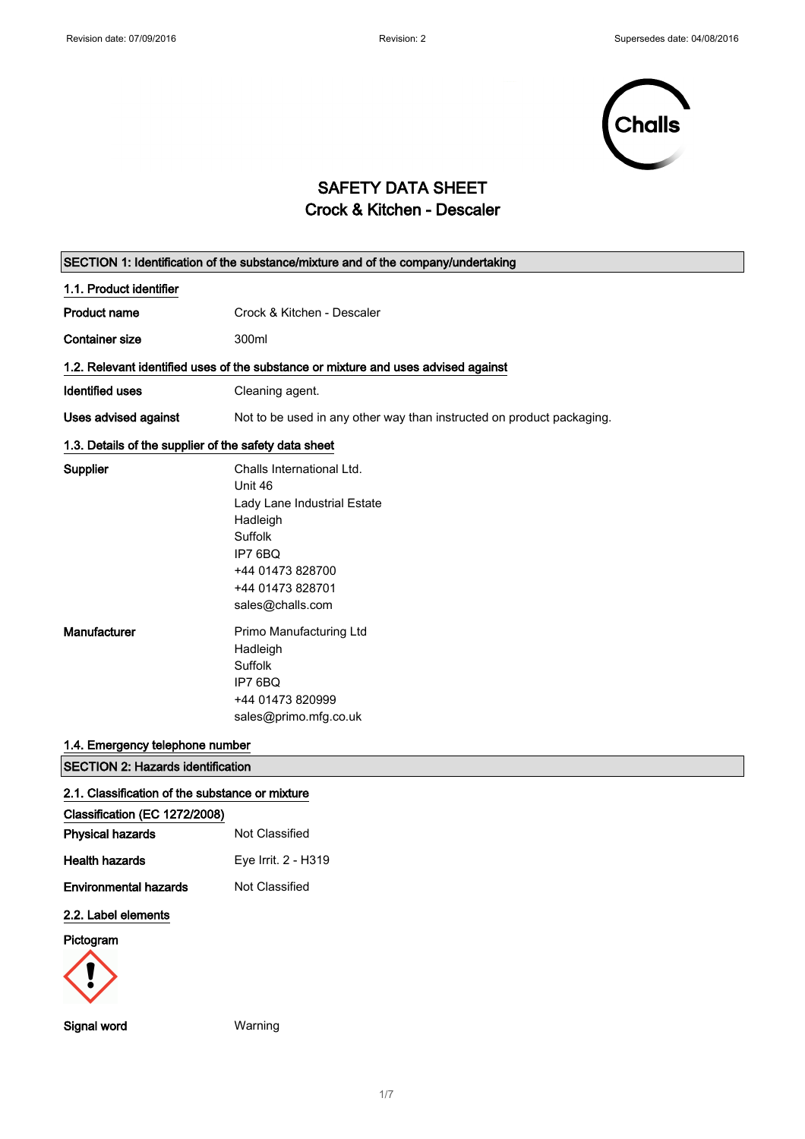

# SAFETY DATA SHEET Crock & Kitchen - Descaler

|                                                          | SECTION 1: Identification of the substance/mixture and of the company/undertaking                                                                                 |
|----------------------------------------------------------|-------------------------------------------------------------------------------------------------------------------------------------------------------------------|
| 1.1. Product identifier                                  |                                                                                                                                                                   |
| <b>Product name</b>                                      | Crock & Kitchen - Descaler                                                                                                                                        |
| <b>Container size</b>                                    | 300ml                                                                                                                                                             |
|                                                          | 1.2. Relevant identified uses of the substance or mixture and uses advised against                                                                                |
| <b>Identified uses</b>                                   | Cleaning agent.                                                                                                                                                   |
| <b>Uses advised against</b>                              | Not to be used in any other way than instructed on product packaging.                                                                                             |
| 1.3. Details of the supplier of the safety data sheet    |                                                                                                                                                                   |
| Supplier                                                 | Challs International Ltd.<br>Unit 46<br>Lady Lane Industrial Estate<br>Hadleigh<br>Suffolk<br>IP7 6BQ<br>+44 01473 828700<br>+44 01473 828701<br>sales@challs.com |
| Manufacturer                                             | Primo Manufacturing Ltd<br>Hadleigh<br>Suffolk<br>IP7 6BQ<br>+44 01473 820999<br>sales@primo.mfg.co.uk                                                            |
| 1.4. Emergency telephone number                          |                                                                                                                                                                   |
| <b>SECTION 2: Hazards identification</b>                 |                                                                                                                                                                   |
| 2.1. Classification of the substance or mixture          |                                                                                                                                                                   |
| Classification (EC 1272/2008)<br><b>Physical hazards</b> | Not Classified                                                                                                                                                    |
| <b>Health hazards</b>                                    | Eye Irrit. 2 - H319                                                                                                                                               |
| <b>Environmental hazards</b>                             | Not Classified                                                                                                                                                    |
| 2.2. Label elements                                      |                                                                                                                                                                   |
| Pictogram<br><b>Signal word</b>                          | Warning                                                                                                                                                           |
|                                                          |                                                                                                                                                                   |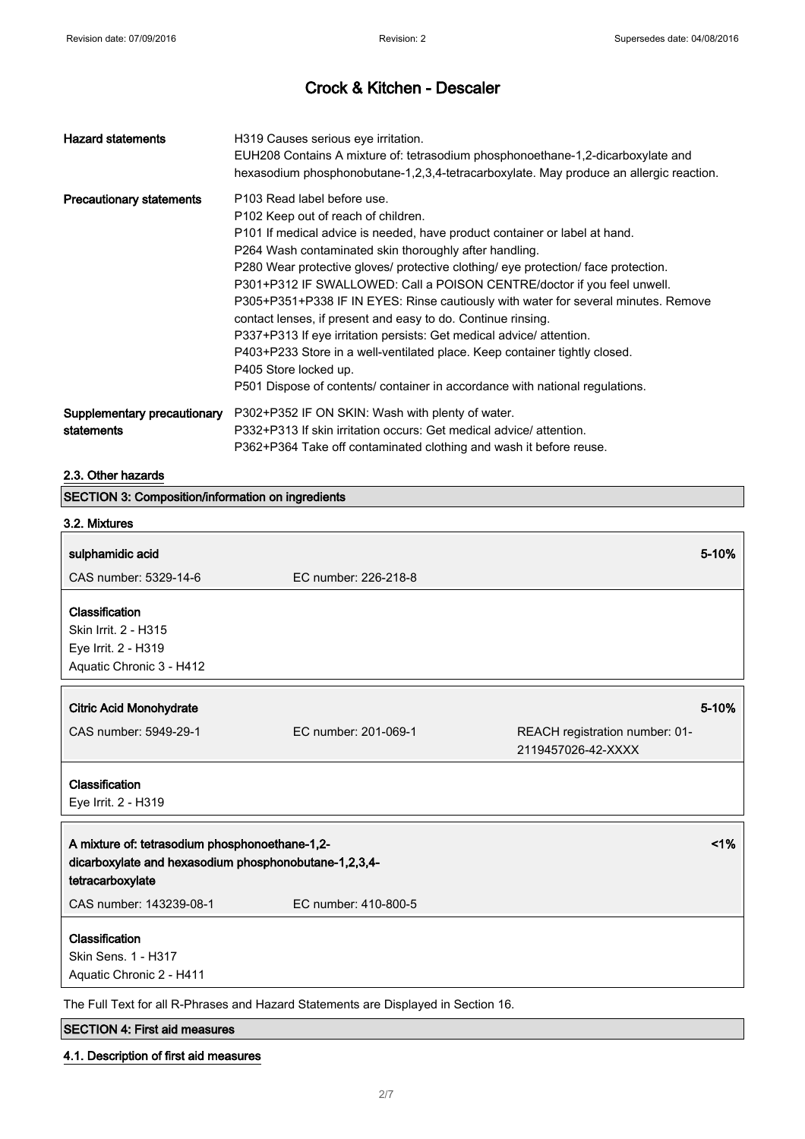| <b>Hazard statements</b>                  | H319 Causes serious eye irritation.<br>EUH208 Contains A mixture of: tetrasodium phosphonoethane-1,2-dicarboxylate and<br>hexasodium phosphonobutane-1,2,3,4-tetracarboxylate. May produce an allergic reaction.                                                                                                                                                                                                                                                                                                                                                                                                                                                                                                                                                                                |
|-------------------------------------------|-------------------------------------------------------------------------------------------------------------------------------------------------------------------------------------------------------------------------------------------------------------------------------------------------------------------------------------------------------------------------------------------------------------------------------------------------------------------------------------------------------------------------------------------------------------------------------------------------------------------------------------------------------------------------------------------------------------------------------------------------------------------------------------------------|
| <b>Precautionary statements</b>           | P103 Read label before use.<br>P102 Keep out of reach of children.<br>P101 If medical advice is needed, have product container or label at hand.<br>P264 Wash contaminated skin thoroughly after handling.<br>P280 Wear protective gloves/ protective clothing/ eye protection/ face protection.<br>P301+P312 IF SWALLOWED: Call a POISON CENTRE/doctor if you feel unwell.<br>P305+P351+P338 IF IN EYES: Rinse cautiously with water for several minutes. Remove<br>contact lenses, if present and easy to do. Continue rinsing.<br>P337+P313 If eye irritation persists: Get medical advice/attention.<br>P403+P233 Store in a well-ventilated place. Keep container tightly closed.<br>P405 Store locked up.<br>P501 Dispose of contents/ container in accordance with national regulations. |
| Supplementary precautionary<br>statements | P302+P352 IF ON SKIN: Wash with plenty of water.<br>P332+P313 If skin irritation occurs: Get medical advice/ attention.<br>P362+P364 Take off contaminated clothing and wash it before reuse.                                                                                                                                                                                                                                                                                                                                                                                                                                                                                                                                                                                                   |

## 2.3. Other hazards

| SECTION 3: Composition/information on ingredients     |                                                                                    |                                |
|-------------------------------------------------------|------------------------------------------------------------------------------------|--------------------------------|
| 3.2. Mixtures                                         |                                                                                    |                                |
| sulphamidic acid                                      |                                                                                    | 5-10%                          |
| CAS number: 5329-14-6                                 | EC number: 226-218-8                                                               |                                |
| Classification                                        |                                                                                    |                                |
| Skin Irrit. 2 - H315                                  |                                                                                    |                                |
|                                                       |                                                                                    |                                |
| Eye Irrit. 2 - H319                                   |                                                                                    |                                |
| Aquatic Chronic 3 - H412                              |                                                                                    |                                |
|                                                       |                                                                                    |                                |
| <b>Citric Acid Monohydrate</b>                        |                                                                                    | 5-10%                          |
| CAS number: 5949-29-1                                 | EC number: 201-069-1                                                               | REACH registration number: 01- |
|                                                       |                                                                                    | 2119457026-42-XXXX             |
| Classification                                        |                                                                                    |                                |
| Eye Irrit. 2 - H319                                   |                                                                                    |                                |
|                                                       |                                                                                    |                                |
| A mixture of: tetrasodium phosphonoethane-1,2-        |                                                                                    | 1%                             |
| dicarboxylate and hexasodium phosphonobutane-1,2,3,4- |                                                                                    |                                |
| tetracarboxylate                                      |                                                                                    |                                |
| CAS number: 143239-08-1                               | EC number: 410-800-5                                                               |                                |
|                                                       |                                                                                    |                                |
| Classification                                        |                                                                                    |                                |
| Skin Sens. 1 - H317                                   |                                                                                    |                                |
| Aquatic Chronic 2 - H411                              |                                                                                    |                                |
|                                                       | The Full Text for all R-Phrases and Hazard Statements are Displayed in Section 16. |                                |
|                                                       |                                                                                    |                                |

SECTION 4: First aid measures

4.1. Description of first aid measures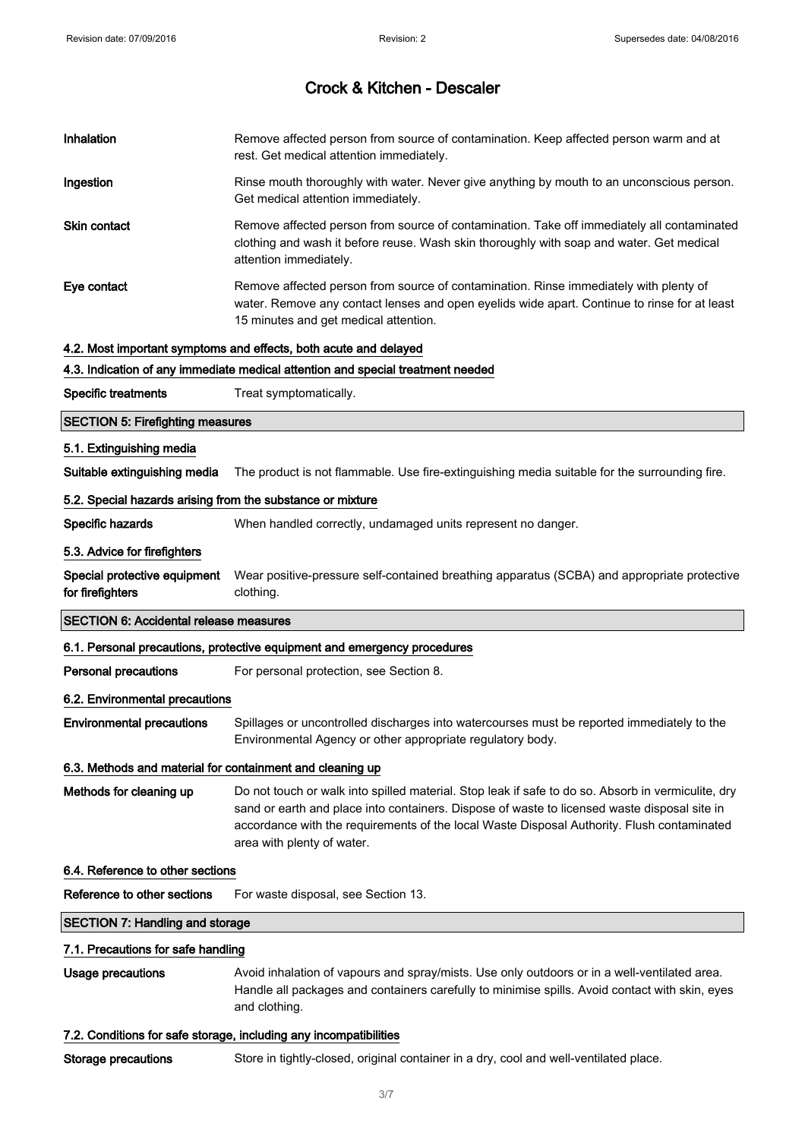| Inhalation                                                        | Remove affected person from source of contamination. Keep affected person warm and at<br>rest. Get medical attention immediately.                                                                                                                                                                                              |
|-------------------------------------------------------------------|--------------------------------------------------------------------------------------------------------------------------------------------------------------------------------------------------------------------------------------------------------------------------------------------------------------------------------|
| Ingestion                                                         | Rinse mouth thoroughly with water. Never give anything by mouth to an unconscious person.<br>Get medical attention immediately.                                                                                                                                                                                                |
| Skin contact                                                      | Remove affected person from source of contamination. Take off immediately all contaminated<br>clothing and wash it before reuse. Wash skin thoroughly with soap and water. Get medical<br>attention immediately.                                                                                                               |
| Eye contact                                                       | Remove affected person from source of contamination. Rinse immediately with plenty of<br>water. Remove any contact lenses and open eyelids wide apart. Continue to rinse for at least<br>15 minutes and get medical attention.                                                                                                 |
|                                                                   | 4.2. Most important symptoms and effects, both acute and delayed                                                                                                                                                                                                                                                               |
|                                                                   | 4.3. Indication of any immediate medical attention and special treatment needed                                                                                                                                                                                                                                                |
| <b>Specific treatments</b>                                        | Treat symptomatically.                                                                                                                                                                                                                                                                                                         |
| <b>SECTION 5: Firefighting measures</b>                           |                                                                                                                                                                                                                                                                                                                                |
| 5.1. Extinguishing media                                          |                                                                                                                                                                                                                                                                                                                                |
| Suitable extinguishing media                                      | The product is not flammable. Use fire-extinguishing media suitable for the surrounding fire.                                                                                                                                                                                                                                  |
| 5.2. Special hazards arising from the substance or mixture        |                                                                                                                                                                                                                                                                                                                                |
| Specific hazards                                                  | When handled correctly, undamaged units represent no danger.                                                                                                                                                                                                                                                                   |
| 5.3. Advice for firefighters                                      |                                                                                                                                                                                                                                                                                                                                |
| Special protective equipment<br>for firefighters                  | Wear positive-pressure self-contained breathing apparatus (SCBA) and appropriate protective<br>clothing.                                                                                                                                                                                                                       |
| <b>SECTION 6: Accidental release measures</b>                     |                                                                                                                                                                                                                                                                                                                                |
|                                                                   | 6.1. Personal precautions, protective equipment and emergency procedures                                                                                                                                                                                                                                                       |
| <b>Personal precautions</b>                                       | For personal protection, see Section 8.                                                                                                                                                                                                                                                                                        |
| 6.2. Environmental precautions                                    |                                                                                                                                                                                                                                                                                                                                |
| <b>Environmental precautions</b>                                  | Spillages or uncontrolled discharges into watercourses must be reported immediately to the<br>Environmental Agency or other appropriate regulatory body.                                                                                                                                                                       |
| 6.3. Methods and material for containment and cleaning up         |                                                                                                                                                                                                                                                                                                                                |
| Methods for cleaning up                                           | Do not touch or walk into spilled material. Stop leak if safe to do so. Absorb in vermiculite, dry<br>sand or earth and place into containers. Dispose of waste to licensed waste disposal site in<br>accordance with the requirements of the local Waste Disposal Authority. Flush contaminated<br>area with plenty of water. |
| 6.4. Reference to other sections                                  |                                                                                                                                                                                                                                                                                                                                |
| Reference to other sections                                       | For waste disposal, see Section 13.                                                                                                                                                                                                                                                                                            |
| <b>SECTION 7: Handling and storage</b>                            |                                                                                                                                                                                                                                                                                                                                |
| 7.1. Precautions for safe handling                                |                                                                                                                                                                                                                                                                                                                                |
| <b>Usage precautions</b>                                          | Avoid inhalation of vapours and spray/mists. Use only outdoors or in a well-ventilated area.<br>Handle all packages and containers carefully to minimise spills. Avoid contact with skin, eyes<br>and clothing.                                                                                                                |
| 7.2. Conditions for safe storage, including any incompatibilities |                                                                                                                                                                                                                                                                                                                                |
| Storage precautions                                               | Store in tightly-closed, original container in a dry, cool and well-ventilated place.                                                                                                                                                                                                                                          |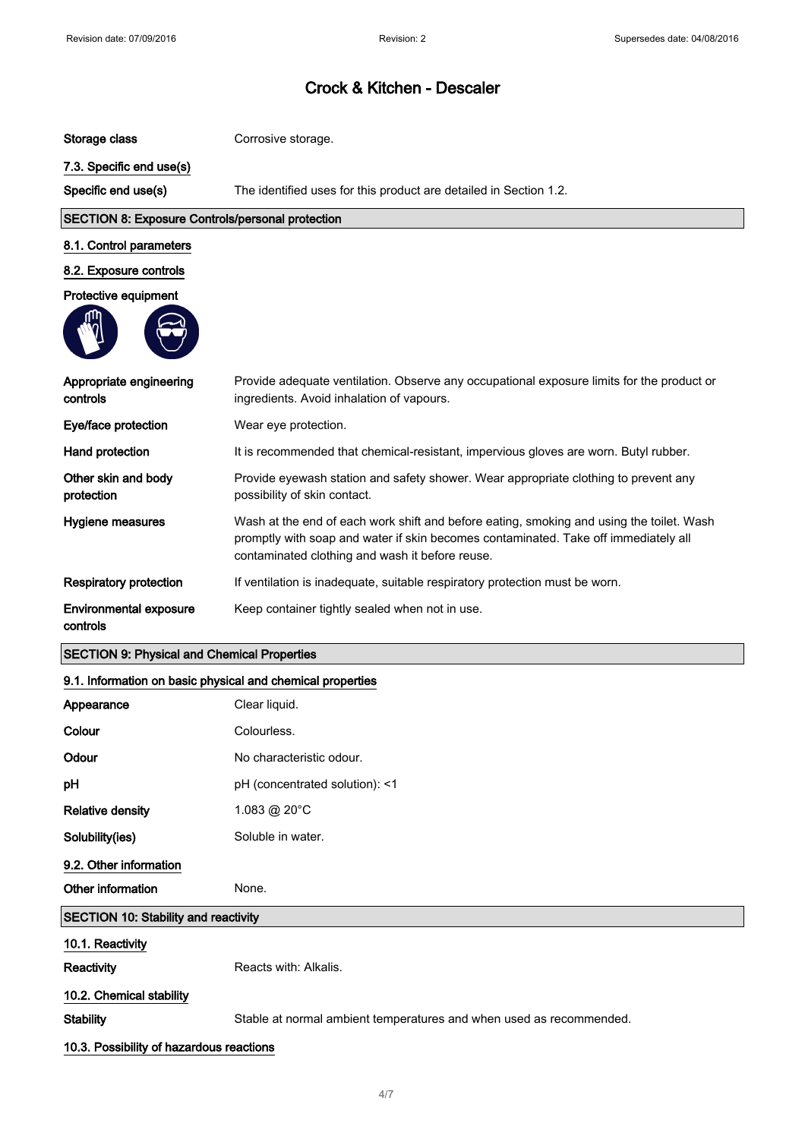| Storage class                                              | Corrosive storage.                                                                                                                                                                                                                 |
|------------------------------------------------------------|------------------------------------------------------------------------------------------------------------------------------------------------------------------------------------------------------------------------------------|
| 7.3. Specific end use(s)                                   |                                                                                                                                                                                                                                    |
| Specific end use(s)                                        | The identified uses for this product are detailed in Section 1.2.                                                                                                                                                                  |
| <b>SECTION 8: Exposure Controls/personal protection</b>    |                                                                                                                                                                                                                                    |
| 8.1. Control parameters                                    |                                                                                                                                                                                                                                    |
| 8.2. Exposure controls                                     |                                                                                                                                                                                                                                    |
| Protective equipment                                       |                                                                                                                                                                                                                                    |
|                                                            |                                                                                                                                                                                                                                    |
| Appropriate engineering<br>controls                        | Provide adequate ventilation. Observe any occupational exposure limits for the product or<br>ingredients. Avoid inhalation of vapours.                                                                                             |
| Eye/face protection                                        | Wear eye protection.                                                                                                                                                                                                               |
| Hand protection                                            | It is recommended that chemical-resistant, impervious gloves are worn. Butyl rubber.                                                                                                                                               |
| Other skin and body<br>protection                          | Provide eyewash station and safety shower. Wear appropriate clothing to prevent any<br>possibility of skin contact.                                                                                                                |
| Hygiene measures                                           | Wash at the end of each work shift and before eating, smoking and using the toilet. Wash<br>promptly with soap and water if skin becomes contaminated. Take off immediately all<br>contaminated clothing and wash it before reuse. |
| <b>Respiratory protection</b>                              | If ventilation is inadequate, suitable respiratory protection must be worn.                                                                                                                                                        |
| <b>Environmental exposure</b><br>controls                  | Keep container tightly sealed when not in use.                                                                                                                                                                                     |
| <b>SECTION 9: Physical and Chemical Properties</b>         |                                                                                                                                                                                                                                    |
| 9.1. Information on basic physical and chemical properties |                                                                                                                                                                                                                                    |
| Appearance                                                 | Clear liquid.                                                                                                                                                                                                                      |
| Colour                                                     | Colourless                                                                                                                                                                                                                         |
| Odour                                                      | No characteristic odour.                                                                                                                                                                                                           |
| pH                                                         | pH (concentrated solution): <1                                                                                                                                                                                                     |
| <b>Relative density</b>                                    | 1.083 @ 20°C                                                                                                                                                                                                                       |
| Solubility(ies)                                            | Soluble in water.                                                                                                                                                                                                                  |
| 9.2. Other information                                     |                                                                                                                                                                                                                                    |
| Other information                                          | None.                                                                                                                                                                                                                              |
| <b>SECTION 10: Stability and reactivity</b>                |                                                                                                                                                                                                                                    |
| 10.1. Reactivity                                           |                                                                                                                                                                                                                                    |
| Reactivity                                                 | Reacts with: Alkalis.                                                                                                                                                                                                              |
| 10.2. Chemical stability                                   |                                                                                                                                                                                                                                    |
| <b>Stability</b>                                           |                                                                                                                                                                                                                                    |
|                                                            | Stable at normal ambient temperatures and when used as recommended.                                                                                                                                                                |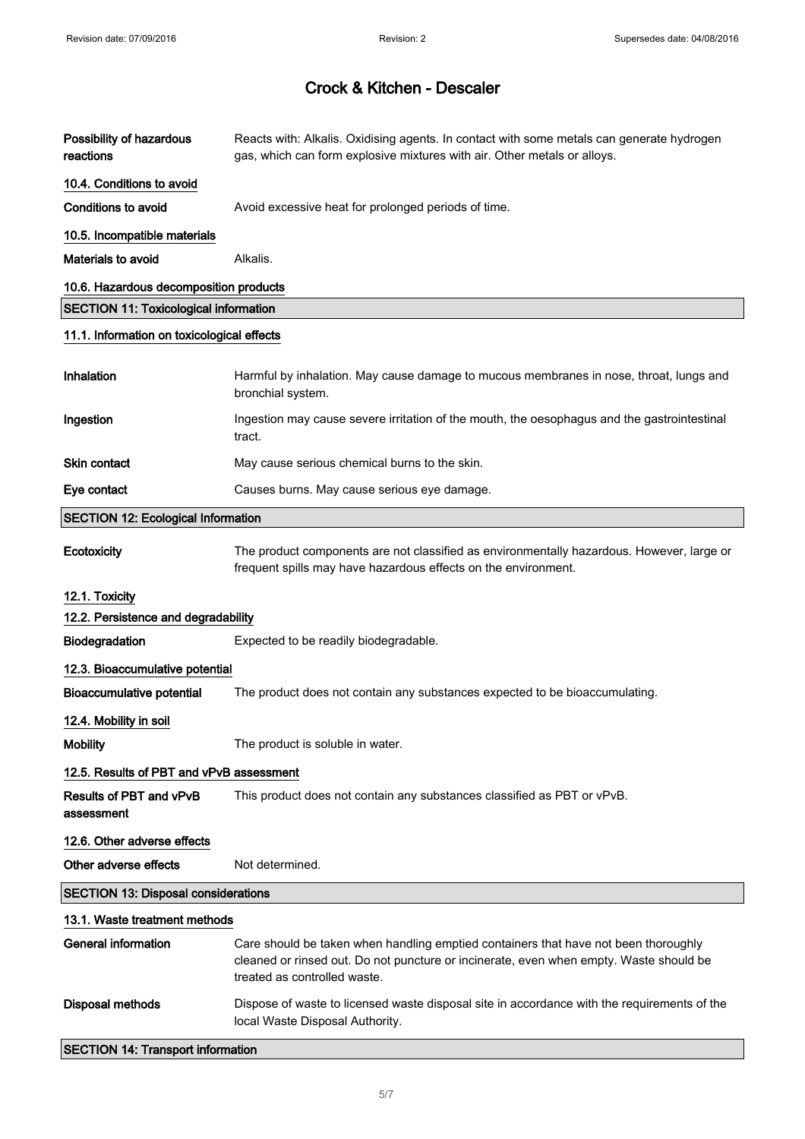| Possibility of hazardous<br>reactions        | Reacts with: Alkalis. Oxidising agents. In contact with some metals can generate hydrogen<br>gas, which can form explosive mixtures with air. Other metals or alloys.                                         |
|----------------------------------------------|---------------------------------------------------------------------------------------------------------------------------------------------------------------------------------------------------------------|
| 10.4. Conditions to avoid                    |                                                                                                                                                                                                               |
| Conditions to avoid                          | Avoid excessive heat for prolonged periods of time.                                                                                                                                                           |
| 10.5. Incompatible materials                 |                                                                                                                                                                                                               |
| Materials to avoid                           | Alkalis.                                                                                                                                                                                                      |
| 10.6. Hazardous decomposition products       |                                                                                                                                                                                                               |
| <b>SECTION 11: Toxicological information</b> |                                                                                                                                                                                                               |
| 11.1. Information on toxicological effects   |                                                                                                                                                                                                               |
| Inhalation                                   | Harmful by inhalation. May cause damage to mucous membranes in nose, throat, lungs and<br>bronchial system.                                                                                                   |
| Ingestion                                    | Ingestion may cause severe irritation of the mouth, the oesophagus and the gastrointestinal<br>tract.                                                                                                         |
| <b>Skin contact</b>                          | May cause serious chemical burns to the skin.                                                                                                                                                                 |
| Eye contact                                  | Causes burns. May cause serious eye damage.                                                                                                                                                                   |
| <b>SECTION 12: Ecological Information</b>    |                                                                                                                                                                                                               |
| Ecotoxicity                                  | The product components are not classified as environmentally hazardous. However, large or<br>frequent spills may have hazardous effects on the environment.                                                   |
| 12.1. Toxicity                               |                                                                                                                                                                                                               |
| 12.2. Persistence and degradability          |                                                                                                                                                                                                               |
| Biodegradation                               | Expected to be readily biodegradable.                                                                                                                                                                         |
| 12.3. Bioaccumulative potential              |                                                                                                                                                                                                               |
| <b>Bioaccumulative potential</b>             | The product does not contain any substances expected to be bioaccumulating.                                                                                                                                   |
| 12.4. Mobility in soil                       |                                                                                                                                                                                                               |
| <b>Mobility</b>                              | The product is soluble in water.                                                                                                                                                                              |
| 12.5. Results of PBT and vPvB assessment     |                                                                                                                                                                                                               |
| Results of PBT and vPvB<br>assessment        | This product does not contain any substances classified as PBT or vPvB.                                                                                                                                       |
| 12.6. Other adverse effects                  |                                                                                                                                                                                                               |
| Other adverse effects                        | Not determined.                                                                                                                                                                                               |
| <b>SECTION 13: Disposal considerations</b>   |                                                                                                                                                                                                               |
| 13.1. Waste treatment methods                |                                                                                                                                                                                                               |
| <b>General information</b>                   | Care should be taken when handling emptied containers that have not been thoroughly<br>cleaned or rinsed out. Do not puncture or incinerate, even when empty. Waste should be<br>treated as controlled waste. |
| <b>Disposal methods</b>                      | Dispose of waste to licensed waste disposal site in accordance with the requirements of the<br>local Waste Disposal Authority.                                                                                |
| <b>SECTION 14: Transport information</b>     |                                                                                                                                                                                                               |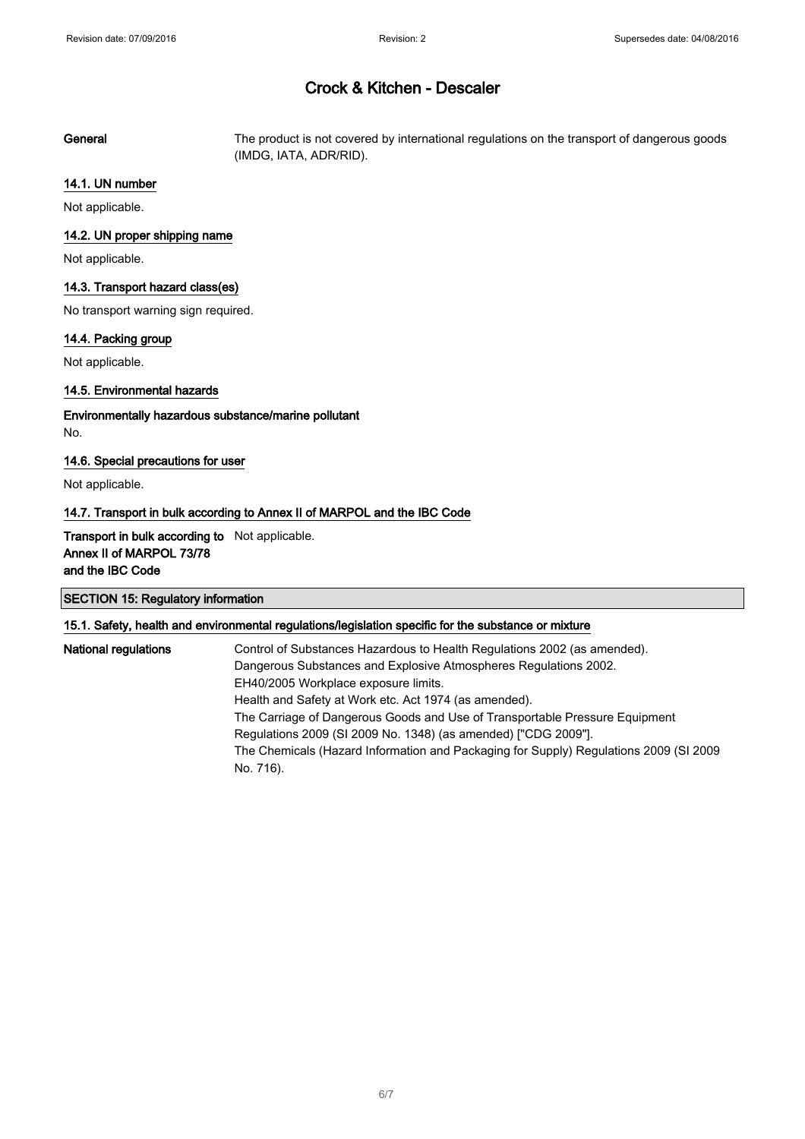General The product is not covered by international regulations on the transport of dangerous goods (IMDG, IATA, ADR/RID).

#### 14.1. UN number

Not applicable.

#### 14.2. UN proper shipping name

Not applicable.

#### 14.3. Transport hazard class(es)

No transport warning sign required.

#### 14.4. Packing group

Not applicable.

#### 14.5. Environmental hazards

Environmentally hazardous substance/marine pollutant No.

#### 14.6. Special precautions for user

Not applicable.

#### 14.7. Transport in bulk according to Annex II of MARPOL and the IBC Code

Transport in bulk according to Not applicable. Annex II of MARPOL 73/78 and the IBC Code

### SECTION 15: Regulatory information

#### 15.1. Safety, health and environmental regulations/legislation specific for the substance or mixture

National regulations **Control of Substances Hazardous to Health Regulations 2002** (as amended). Dangerous Substances and Explosive Atmospheres Regulations 2002. EH40/2005 Workplace exposure limits. Health and Safety at Work etc. Act 1974 (as amended). The Carriage of Dangerous Goods and Use of Transportable Pressure Equipment Regulations 2009 (SI 2009 No. 1348) (as amended) ["CDG 2009"]. The Chemicals (Hazard Information and Packaging for Supply) Regulations 2009 (SI 2009 No. 716).